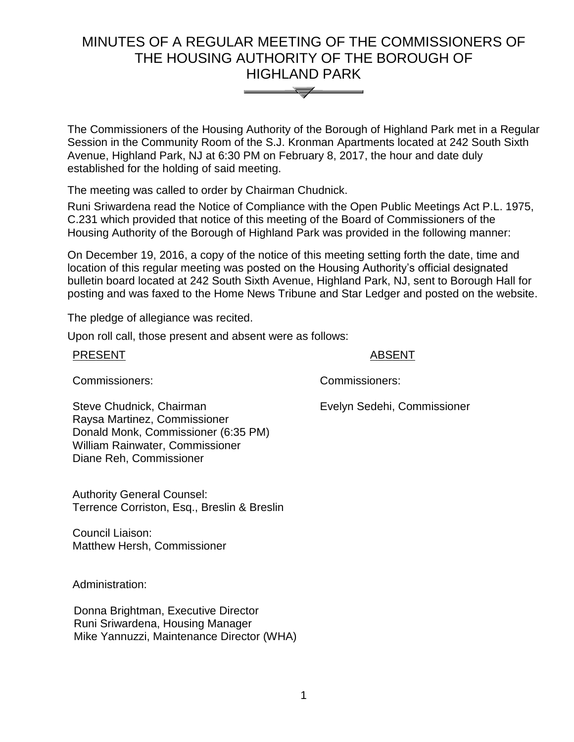# MINUTES OF A REGULAR MEETING OF THE COMMISSIONERS OF THE HOUSING AUTHORITY OF THE BOROUGH OF HIGHLAND PARK



The Commissioners of the Housing Authority of the Borough of Highland Park met in a Regular Session in the Community Room of the S.J. Kronman Apartments located at 242 South Sixth Avenue, Highland Park, NJ at 6:30 PM on February 8, 2017, the hour and date duly established for the holding of said meeting.

The meeting was called to order by Chairman Chudnick.

Runi Sriwardena read the Notice of Compliance with the Open Public Meetings Act P.L. 1975, C.231 which provided that notice of this meeting of the Board of Commissioners of the Housing Authority of the Borough of Highland Park was provided in the following manner:

On December 19, 2016, a copy of the notice of this meeting setting forth the date, time and location of this regular meeting was posted on the Housing Authority's official designated bulletin board located at 242 South Sixth Avenue, Highland Park, NJ, sent to Borough Hall for posting and was faxed to the Home News Tribune and Star Ledger and posted on the website.

The pledge of allegiance was recited.

Upon roll call, those present and absent were as follows:

#### PRESENT ABSENT

Commissioners: Commissioners:

Evelyn Sedehi, Commissioner

Steve Chudnick, Chairman Raysa Martinez, Commissioner Donald Monk, Commissioner (6:35 PM) William Rainwater, Commissioner Diane Reh, Commissioner

Authority General Counsel: Terrence Corriston, Esq., Breslin & Breslin

Council Liaison: Matthew Hersh, Commissioner

Administration:

 Donna Brightman, Executive Director Runi Sriwardena, Housing Manager Mike Yannuzzi, Maintenance Director (WHA)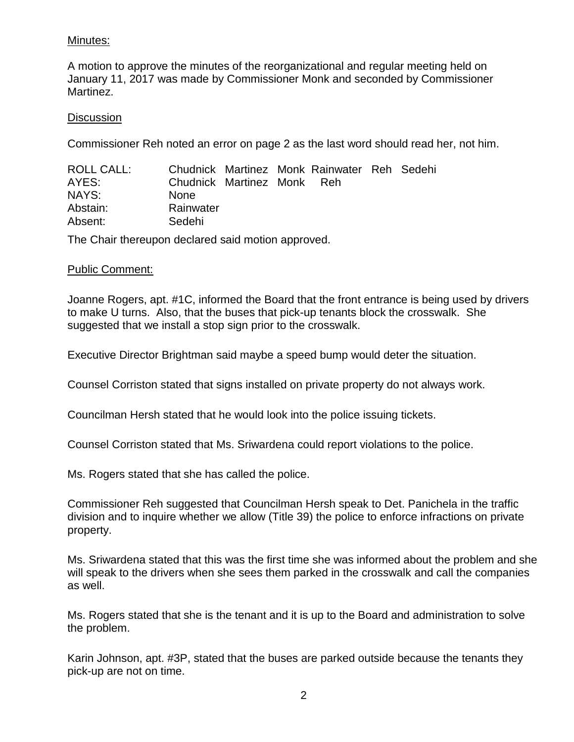# Minutes:

A motion to approve the minutes of the reorganizational and regular meeting held on January 11, 2017 was made by Commissioner Monk and seconded by Commissioner Martinez.

## **Discussion**

Commissioner Reh noted an error on page 2 as the last word should read her, not him.

| ROLL CALL: |                            |  | Chudnick Martinez Monk Rainwater Reh Sedehi |  |
|------------|----------------------------|--|---------------------------------------------|--|
| AYES:      | Chudnick Martinez Monk Reh |  |                                             |  |
| NAYS:      | <b>None</b>                |  |                                             |  |
| Abstain:   | Rainwater                  |  |                                             |  |
| Absent:    | Sedehi                     |  |                                             |  |

The Chair thereupon declared said motion approved.

## Public Comment:

Joanne Rogers, apt. #1C, informed the Board that the front entrance is being used by drivers to make U turns. Also, that the buses that pick-up tenants block the crosswalk. She suggested that we install a stop sign prior to the crosswalk.

Executive Director Brightman said maybe a speed bump would deter the situation.

Counsel Corriston stated that signs installed on private property do not always work.

Councilman Hersh stated that he would look into the police issuing tickets.

Counsel Corriston stated that Ms. Sriwardena could report violations to the police.

Ms. Rogers stated that she has called the police.

Commissioner Reh suggested that Councilman Hersh speak to Det. Panichela in the traffic division and to inquire whether we allow (Title 39) the police to enforce infractions on private property.

Ms. Sriwardena stated that this was the first time she was informed about the problem and she will speak to the drivers when she sees them parked in the crosswalk and call the companies as well.

Ms. Rogers stated that she is the tenant and it is up to the Board and administration to solve the problem.

Karin Johnson, apt. #3P, stated that the buses are parked outside because the tenants they pick-up are not on time.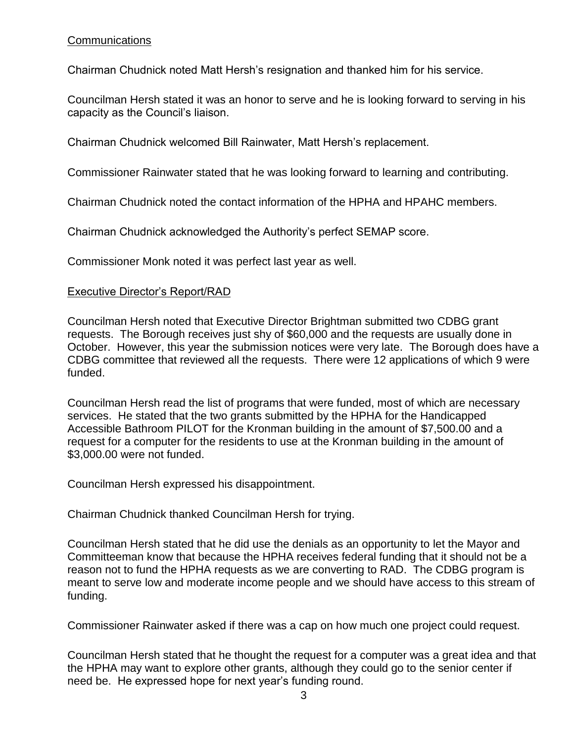# Communications

Chairman Chudnick noted Matt Hersh's resignation and thanked him for his service.

Councilman Hersh stated it was an honor to serve and he is looking forward to serving in his capacity as the Council's liaison.

Chairman Chudnick welcomed Bill Rainwater, Matt Hersh's replacement.

Commissioner Rainwater stated that he was looking forward to learning and contributing.

Chairman Chudnick noted the contact information of the HPHA and HPAHC members.

Chairman Chudnick acknowledged the Authority's perfect SEMAP score.

Commissioner Monk noted it was perfect last year as well.

# Executive Director's Report/RAD

Councilman Hersh noted that Executive Director Brightman submitted two CDBG grant requests. The Borough receives just shy of \$60,000 and the requests are usually done in October. However, this year the submission notices were very late. The Borough does have a CDBG committee that reviewed all the requests. There were 12 applications of which 9 were funded.

Councilman Hersh read the list of programs that were funded, most of which are necessary services. He stated that the two grants submitted by the HPHA for the Handicapped Accessible Bathroom PILOT for the Kronman building in the amount of \$7,500.00 and a request for a computer for the residents to use at the Kronman building in the amount of \$3,000.00 were not funded.

Councilman Hersh expressed his disappointment.

Chairman Chudnick thanked Councilman Hersh for trying.

Councilman Hersh stated that he did use the denials as an opportunity to let the Mayor and Committeeman know that because the HPHA receives federal funding that it should not be a reason not to fund the HPHA requests as we are converting to RAD. The CDBG program is meant to serve low and moderate income people and we should have access to this stream of funding.

Commissioner Rainwater asked if there was a cap on how much one project could request.

Councilman Hersh stated that he thought the request for a computer was a great idea and that the HPHA may want to explore other grants, although they could go to the senior center if need be. He expressed hope for next year's funding round.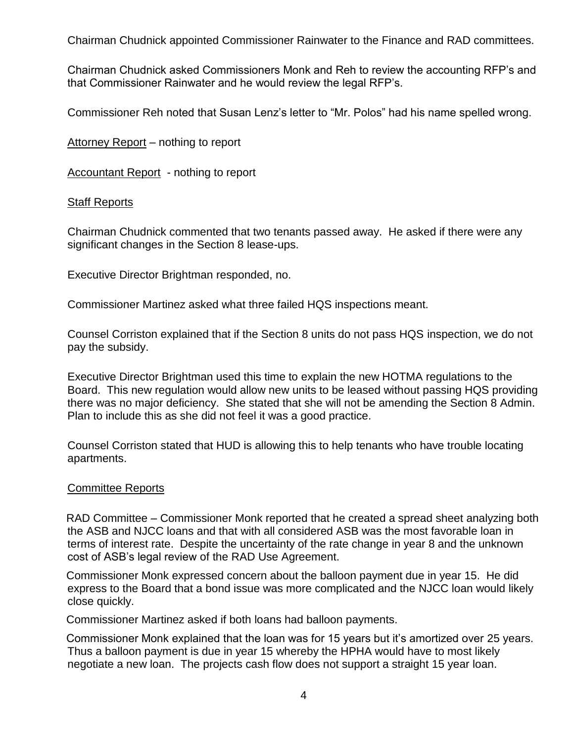Chairman Chudnick appointed Commissioner Rainwater to the Finance and RAD committees.

Chairman Chudnick asked Commissioners Monk and Reh to review the accounting RFP's and that Commissioner Rainwater and he would review the legal RFP's.

Commissioner Reh noted that Susan Lenz's letter to "Mr. Polos" had his name spelled wrong.

Attorney Report – nothing to report

Accountant Report - nothing to report

#### **Staff Reports**

Chairman Chudnick commented that two tenants passed away. He asked if there were any significant changes in the Section 8 lease-ups.

Executive Director Brightman responded, no.

Commissioner Martinez asked what three failed HQS inspections meant.

Counsel Corriston explained that if the Section 8 units do not pass HQS inspection, we do not pay the subsidy.

Executive Director Brightman used this time to explain the new HOTMA regulations to the Board. This new regulation would allow new units to be leased without passing HQS providing there was no major deficiency. She stated that she will not be amending the Section 8 Admin. Plan to include this as she did not feel it was a good practice.

Counsel Corriston stated that HUD is allowing this to help tenants who have trouble locating apartments.

#### Committee Reports

RAD Committee – Commissioner Monk reported that he created a spread sheet analyzing both the ASB and NJCC loans and that with all considered ASB was the most favorable loan in terms of interest rate. Despite the uncertainty of the rate change in year 8 and the unknown cost of ASB's legal review of the RAD Use Agreement.

Commissioner Monk expressed concern about the balloon payment due in year 15. He did express to the Board that a bond issue was more complicated and the NJCC loan would likely close quickly.

Commissioner Martinez asked if both loans had balloon payments.

Commissioner Monk explained that the loan was for 15 years but it's amortized over 25 years. Thus a balloon payment is due in year 15 whereby the HPHA would have to most likely negotiate a new loan. The projects cash flow does not support a straight 15 year loan.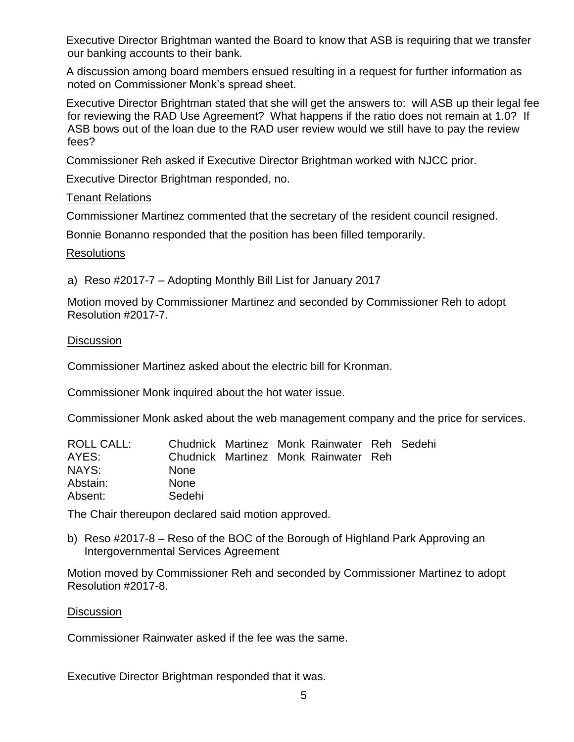Executive Director Brightman wanted the Board to know that ASB is requiring that we transfer our banking accounts to their bank.

A discussion among board members ensued resulting in a request for further information as noted on Commissioner Monk's spread sheet.

Executive Director Brightman stated that she will get the answers to: will ASB up their legal fee for reviewing the RAD Use Agreement? What happens if the ratio does not remain at 1.0? If ASB bows out of the loan due to the RAD user review would we still have to pay the review fees?

Commissioner Reh asked if Executive Director Brightman worked with NJCC prior.

Executive Director Brightman responded, no.

## Tenant Relations

Commissioner Martinez commented that the secretary of the resident council resigned.

Bonnie Bonanno responded that the position has been filled temporarily.

#### **Resolutions**

a) Reso #2017-7 – Adopting Monthly Bill List for January 2017

Motion moved by Commissioner Martinez and seconded by Commissioner Reh to adopt Resolution #2017-7.

#### **Discussion**

Commissioner Martinez asked about the electric bill for Kronman.

Commissioner Monk inquired about the hot water issue.

Commissioner Monk asked about the web management company and the price for services.

| ROLL CALL: |             |  | Chudnick Martinez Monk Rainwater Reh Sedehi |  |
|------------|-------------|--|---------------------------------------------|--|
| AYES:      |             |  | Chudnick Martinez Monk Rainwater Reh        |  |
| NAYS:      | <b>None</b> |  |                                             |  |
| Abstain:   | <b>None</b> |  |                                             |  |
| Absent:    | Sedehi      |  |                                             |  |

The Chair thereupon declared said motion approved.

b) Reso #2017-8 – Reso of the BOC of the Borough of Highland Park Approving an Intergovernmental Services Agreement

Motion moved by Commissioner Reh and seconded by Commissioner Martinez to adopt Resolution #2017-8.

#### **Discussion**

Commissioner Rainwater asked if the fee was the same.

Executive Director Brightman responded that it was.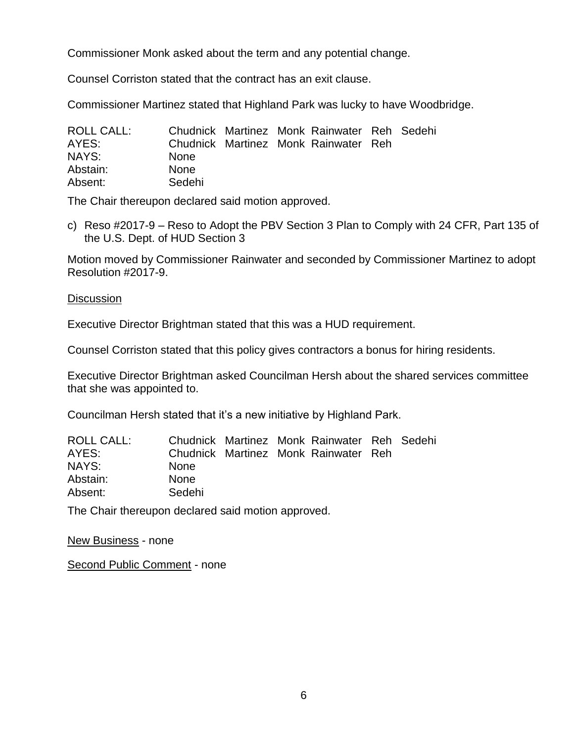Commissioner Monk asked about the term and any potential change.

Counsel Corriston stated that the contract has an exit clause.

Commissioner Martinez stated that Highland Park was lucky to have Woodbridge.

| ROLL CALL: |             |  | Chudnick Martinez Monk Rainwater Reh Sedehi |  |
|------------|-------------|--|---------------------------------------------|--|
| AYES:      |             |  | Chudnick Martinez Monk Rainwater Reh        |  |
| NAYS:      | <b>None</b> |  |                                             |  |
| Abstain:   | <b>None</b> |  |                                             |  |
| Absent:    | Sedehi      |  |                                             |  |

The Chair thereupon declared said motion approved.

c) Reso #2017-9 – Reso to Adopt the PBV Section 3 Plan to Comply with 24 CFR, Part 135 of the U.S. Dept. of HUD Section 3

Motion moved by Commissioner Rainwater and seconded by Commissioner Martinez to adopt Resolution #2017-9.

## **Discussion**

Executive Director Brightman stated that this was a HUD requirement.

Counsel Corriston stated that this policy gives contractors a bonus for hiring residents.

Executive Director Brightman asked Councilman Hersh about the shared services committee that she was appointed to.

Councilman Hersh stated that it's a new initiative by Highland Park.

| ROLL CALL: |             |  | Chudnick Martinez Monk Rainwater Reh Sedehi |  |
|------------|-------------|--|---------------------------------------------|--|
| AYES:      |             |  | Chudnick Martinez Monk Rainwater Reh        |  |
| NAYS:      | <b>None</b> |  |                                             |  |
| Abstain:   | None        |  |                                             |  |
| Absent:    | Sedehi      |  |                                             |  |

The Chair thereupon declared said motion approved.

New Business - none

Second Public Comment - none